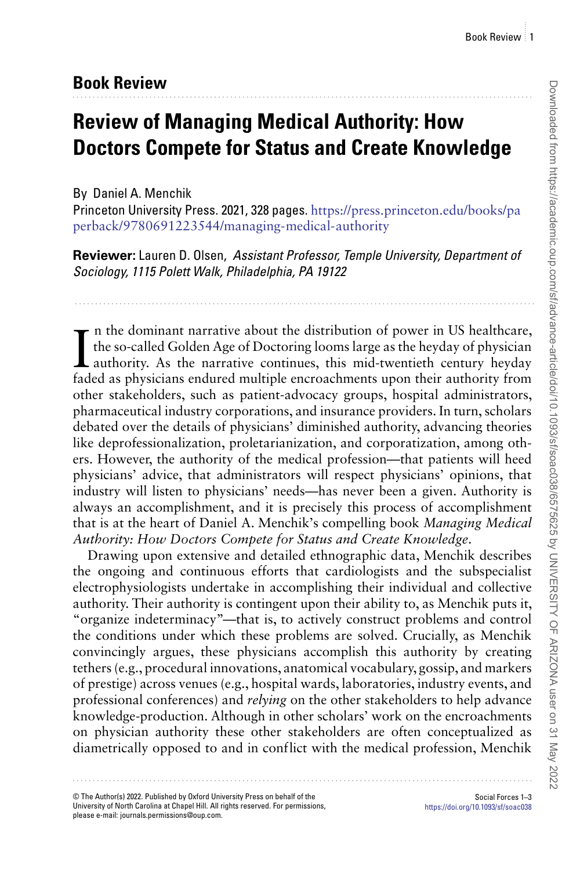## **Book Review**

## **Review of Managing Medical Authority: How Doctors Compete for Status and Create Knowledge**

## By Daniel A. Menchik

Princeton University Press. 2021, 328 pages. [https://press.princeton.edu/books/pa](https://press.princeton.edu/books/paperback/9780691223544/managing-medical-authority) [perback/9780691223544/managing-medical-authority](https://press.princeton.edu/books/paperback/9780691223544/managing-medical-authority)

**Reviewer:** Lauren D. Olsen, Assistant Professor, Temple University, Department of Sociology, 1115 Polett Walk, Philadelphia, PA 19122

In the dominant narrative about the distribution of power in US healthcare,<br>the so-called Golden Age of Doctoring looms large as the heyday of physician<br>authority. As the narrative continues, this mid-twentieth century hey n the dominant narrative about the distribution of power in US healthcare, the so-called Golden Age of Doctoring looms large as the heyday of physician faded as physicians endured multiple encroachments upon their authority from other stakeholders, such as patient-advocacy groups, hospital administrators, pharmaceutical industry corporations, and insurance providers. In turn, scholars debated over the details of physicians' diminished authority, advancing theories like deprofessionalization, proletarianization, and corporatization, among others. However, the authority of the medical profession—that patients will heed physicians' advice, that administrators will respect physicians' opinions, that industry will listen to physicians' needs—has never been a given. Authority is always an accomplishment, and it is precisely this process of accomplishment that is at the heart of Daniel A. Menchik's compelling book *Managing Medical Authority: How Doctors Compete for Status and Create Knowledge*.

Drawing upon extensive and detailed ethnographic data, Menchik describes the ongoing and continuous efforts that cardiologists and the subspecialist electrophysiologists undertake in accomplishing their individual and collective authority. Their authority is contingent upon their ability to, as Menchik puts it, "organize indeterminacy"—that is, to actively construct problems and control the conditions under which these problems are solved. Crucially, as Menchik convincingly argues, these physicians accomplish this authority by creating tethers (e.g., procedural innovations, anatomical vocabulary, gossip, and markers of prestige) across venues (e.g., hospital wards, laboratories, industry events, and professional conferences) and *relying* on the other stakeholders to help advance knowledge-production. Although in other scholars' work on the encroachments on physician authority these other stakeholders are often conceptualized as diametrically opposed to and in conflict with the medical profession, Menchik

© The Author(s) 2022. Published by Oxford University Press on behalf of the University of North Carolina at Chapel Hill. All rights reserved. For permissions, please e-mail: journals.permissions@oup.com.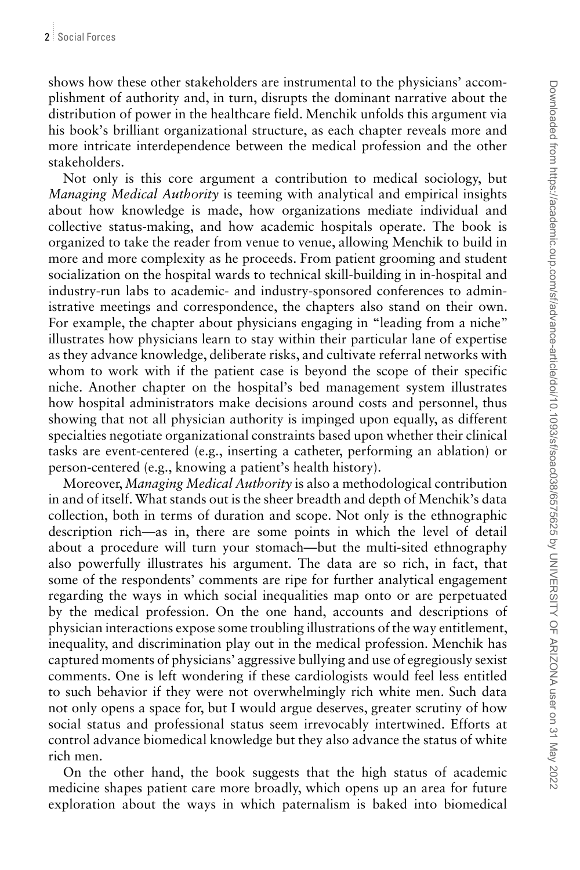shows how these other stakeholders are instrumental to the physicians' accomplishment of authority and, in turn, disrupts the dominant narrative about the distribution of power in the healthcare field. Menchik unfolds this argument via his book's brilliant organizational structure, as each chapter reveals more and more intricate interdependence between the medical profession and the other stakeholders.

Not only is this core argument a contribution to medical sociology, but *Managing Medical Authority* is teeming with analytical and empirical insights about how knowledge is made, how organizations mediate individual and collective status-making, and how academic hospitals operate. The book is organized to take the reader from venue to venue, allowing Menchik to build in more and more complexity as he proceeds. From patient grooming and student socialization on the hospital wards to technical skill-building in in-hospital and industry-run labs to academic- and industry-sponsored conferences to administrative meetings and correspondence, the chapters also stand on their own. For example, the chapter about physicians engaging in "leading from a niche" illustrates how physicians learn to stay within their particular lane of expertise as they advance knowledge, deliberate risks, and cultivate referral networks with whom to work with if the patient case is beyond the scope of their specific niche. Another chapter on the hospital's bed management system illustrates how hospital administrators make decisions around costs and personnel, thus showing that not all physician authority is impinged upon equally, as different specialties negotiate organizational constraints based upon whether their clinical tasks are event-centered (e.g., inserting a catheter, performing an ablation) or person-centered (e.g., knowing a patient's health history).

Moreover, *Managing Medical Authority* is also a methodological contribution in and of itself. What stands out is the sheer breadth and depth of Menchik's data collection, both in terms of duration and scope. Not only is the ethnographic description rich—as in, there are some points in which the level of detail about a procedure will turn your stomach—but the multi-sited ethnography also powerfully illustrates his argument. The data are so rich, in fact, that some of the respondents' comments are ripe for further analytical engagement regarding the ways in which social inequalities map onto or are perpetuated by the medical profession. On the one hand, accounts and descriptions of physician interactions expose some troubling illustrations of the way entitlement, inequality, and discrimination play out in the medical profession. Menchik has captured moments of physicians' aggressive bullying and use of egregiously sexist comments. One is left wondering if these cardiologists would feel less entitled to such behavior if they were not overwhelmingly rich white men. Such data not only opens a space for, but I would argue deserves, greater scrutiny of how social status and professional status seem irrevocably intertwined. Efforts at control advance biomedical knowledge but they also advance the status of white rich men.

On the other hand, the book suggests that the high status of academic medicine shapes patient care more broadly, which opens up an area for future exploration about the ways in which paternalism is baked into biomedical